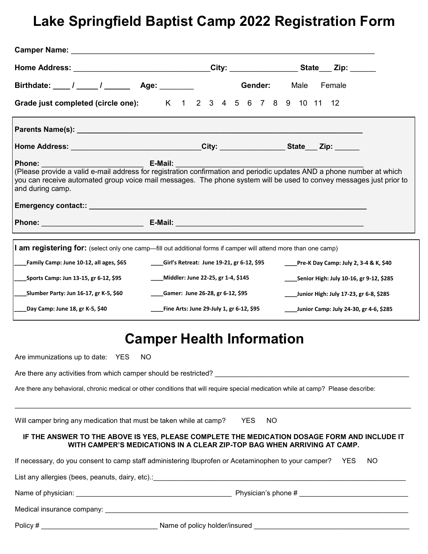# **Lake Springfield Baptist Camp 2022 Registration Form**

| Birthdate: 1 1 1 2 2 4ge:                                                                                                                                                                                                                                                                                                                                                                           |                                                                         |     | Gender: Male Female                              |  |
|-----------------------------------------------------------------------------------------------------------------------------------------------------------------------------------------------------------------------------------------------------------------------------------------------------------------------------------------------------------------------------------------------------|-------------------------------------------------------------------------|-----|--------------------------------------------------|--|
| Grade just completed (circle one): K 1 2 3 4 5 6 7 8 9 10 11 12                                                                                                                                                                                                                                                                                                                                     |                                                                         |     |                                                  |  |
|                                                                                                                                                                                                                                                                                                                                                                                                     |                                                                         |     |                                                  |  |
| Home Address: _________________________________City: _________________State___ Zip: ______                                                                                                                                                                                                                                                                                                          |                                                                         |     |                                                  |  |
| <b>E-Mail:</b> The Contract of the Contract of the Contract of the Contract of the Contract of the Contract of the Co<br>Phone:<br>(Please provide a valid e-mail address for registration confirmation and periodic updates AND a phone number at which<br>you can receive automated group voice mail messages. The phone system will be used to convey messages just prior to<br>and during camp. |                                                                         |     |                                                  |  |
|                                                                                                                                                                                                                                                                                                                                                                                                     |                                                                         |     |                                                  |  |
|                                                                                                                                                                                                                                                                                                                                                                                                     |                                                                         |     |                                                  |  |
| <b>I am registering for:</b> (select only one camp—fill out additional forms if camper will attend more than one camp)                                                                                                                                                                                                                                                                              |                                                                         |     |                                                  |  |
| Family Camp: June 10-12, all ages, \$65                                                                                                                                                                                                                                                                                                                                                             | ___Girl's Retreat: June 19-21, gr 6-12, \$95                            |     | <b>Pre-K Day Camp: July 2, 3-4 &amp; K, \$40</b> |  |
| Sports Camp: Jun 13-15, gr 6-12, \$95                                                                                                                                                                                                                                                                                                                                                               | ____Middler: June 22-25, gr 1-4, \$145                                  |     | _____Senior High: July 10-16, gr 9-12, \$285     |  |
| _Slumber Party: Jun 16-17, gr K-5, \$60                                                                                                                                                                                                                                                                                                                                                             | ____Gamer: June 26-28, gr 6-12, \$95                                    |     | ____Junior High: July 17-23, gr 6-8, \$285       |  |
| Day Camp: June 18, gr K-5, \$40                                                                                                                                                                                                                                                                                                                                                                     | _____Fine Arts: June 29-July 1, gr 6-12, \$95                           |     | ____Junior Camp: July 24-30, gr 4-6, \$285       |  |
|                                                                                                                                                                                                                                                                                                                                                                                                     | <b>Camper Health Information</b>                                        |     |                                                  |  |
| Are immunizations up to date: YES NO                                                                                                                                                                                                                                                                                                                                                                |                                                                         |     |                                                  |  |
| Are there any activities from which camper should be restricted?                                                                                                                                                                                                                                                                                                                                    |                                                                         |     |                                                  |  |
| Are there any behavioral, chronic medical or other conditions that will require special medication while at camp? Please describe:                                                                                                                                                                                                                                                                  |                                                                         |     |                                                  |  |
| Will camper bring any medication that must be taken while at camp? YES                                                                                                                                                                                                                                                                                                                              |                                                                         | NO. |                                                  |  |
| IF THE ANSWER TO THE ABOVE IS YES, PLEASE COMPLETE THE MEDICATION DOSAGE FORM AND INCLUDE IT                                                                                                                                                                                                                                                                                                        | WITH CAMPER'S MEDICATIONS IN A CLEAR ZIP-TOP BAG WHEN ARRIVING AT CAMP. |     |                                                  |  |
| If necessary, do you consent to camp staff administering Ibuprofen or Acetaminophen to your camper?                                                                                                                                                                                                                                                                                                 |                                                                         |     | <b>YES</b><br><b>NO</b>                          |  |
|                                                                                                                                                                                                                                                                                                                                                                                                     |                                                                         |     |                                                  |  |
|                                                                                                                                                                                                                                                                                                                                                                                                     |                                                                         |     |                                                  |  |
|                                                                                                                                                                                                                                                                                                                                                                                                     |                                                                         |     |                                                  |  |
|                                                                                                                                                                                                                                                                                                                                                                                                     |                                                                         |     |                                                  |  |